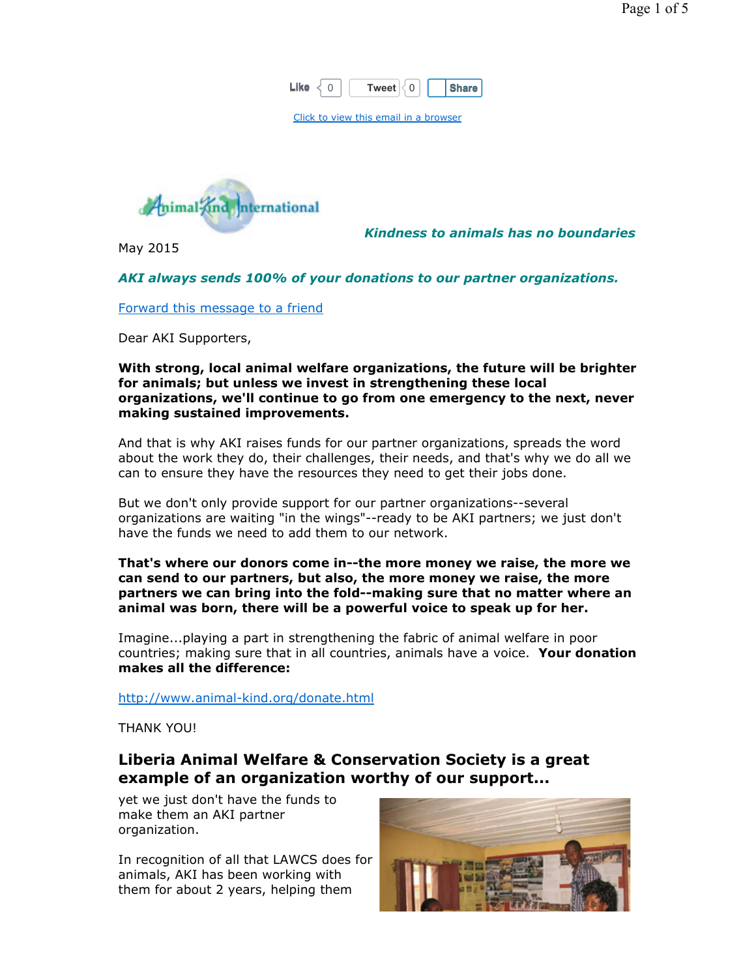| ı | ∩<br>.<br>I WAAT | ۰A |
|---|------------------|----|
|   |                  |    |

Click to view this email in a browser



May 2015

Kindness to animals has no boundaries

### AKI always sends 100% of your donations to our partner organizations.

Forward this message to a friend

Dear AKI Supporters,

#### With strong, local animal welfare organizations, the future will be brighter for animals; but unless we invest in strengthening these local organizations, we'll continue to go from one emergency to the next, never making sustained improvements.

And that is why AKI raises funds for our partner organizations, spreads the word about the work they do, their challenges, their needs, and that's why we do all we can to ensure they have the resources they need to get their jobs done.

But we don't only provide support for our partner organizations--several organizations are waiting "in the wings"--ready to be AKI partners; we just don't have the funds we need to add them to our network.

#### That's where our donors come in--the more money we raise, the more we can send to our partners, but also, the more money we raise, the more partners we can bring into the fold--making sure that no matter where an animal was born, there will be a powerful voice to speak up for her.

Imagine...playing a part in strengthening the fabric of animal welfare in poor countries; making sure that in all countries, animals have a voice. Your donation makes all the difference:

http://www.animal-kind.org/donate.html

THANK YOU!

## Liberia Animal Welfare & Conservation Society is a great example of an organization worthy of our support...

yet we just don't have the funds to make them an AKI partner organization.

In recognition of all that LAWCS does for animals, AKI has been working with them for about 2 years, helping them

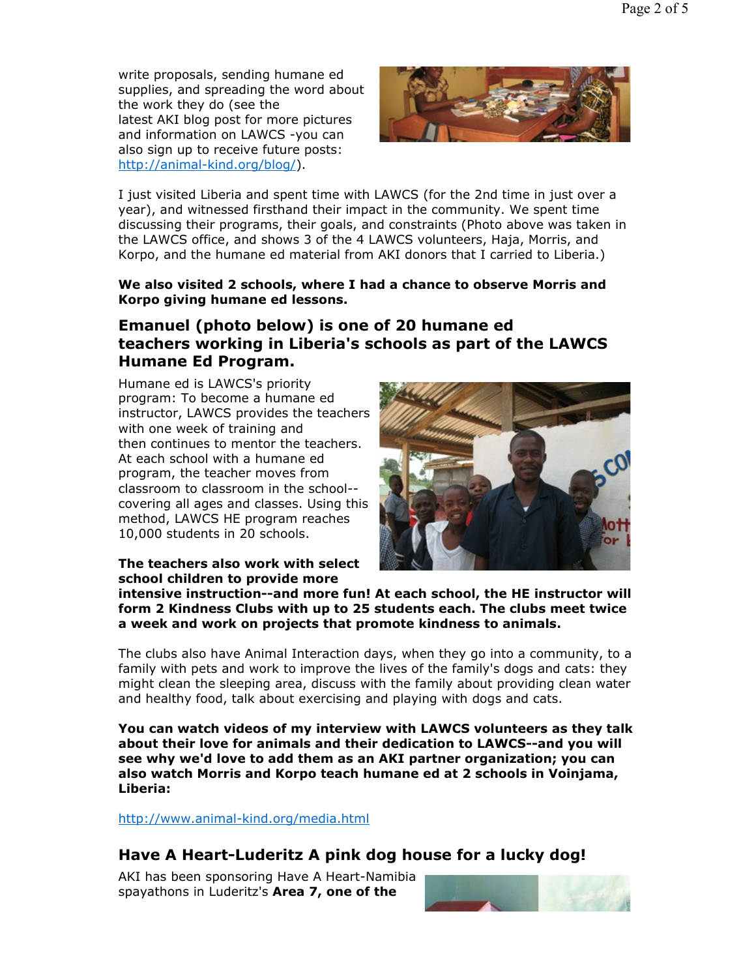write proposals, sending humane ed supplies, and spreading the word about the work they do (see the latest AKI blog post for more pictures and information on LAWCS -you can also sign up to receive future posts: http://animal-kind.org/blog/).



I just visited Liberia and spent time with LAWCS (for the 2nd time in just over a year), and witnessed firsthand their impact in the community. We spent time discussing their programs, their goals, and constraints (Photo above was taken in the LAWCS office, and shows 3 of the 4 LAWCS volunteers, Haja, Morris, and Korpo, and the humane ed material from AKI donors that I carried to Liberia.)

### We also visited 2 schools, where I had a chance to observe Morris and Korpo giving humane ed lessons.

# Emanuel (photo below) is one of 20 humane ed teachers working in Liberia's schools as part of the LAWCS Humane Ed Program.

Humane ed is LAWCS's priority program: To become a humane ed instructor, LAWCS provides the teachers with one week of training and then continues to mentor the teachers. At each school with a humane ed program, the teacher moves from classroom to classroom in the school- covering all ages and classes. Using this method, LAWCS HE program reaches 10,000 students in 20 schools.

The teachers also work with select school children to provide more



intensive instruction--and more fun! At each school, the HE instructor will form 2 Kindness Clubs with up to 25 students each. The clubs meet twice a week and work on projects that promote kindness to animals.

The clubs also have Animal Interaction days, when they go into a community, to a family with pets and work to improve the lives of the family's dogs and cats: they might clean the sleeping area, discuss with the family about providing clean water and healthy food, talk about exercising and playing with dogs and cats.

You can watch videos of my interview with LAWCS volunteers as they talk about their love for animals and their dedication to LAWCS--and you will see why we'd love to add them as an AKI partner organization; you can also watch Morris and Korpo teach humane ed at 2 schools in Voinjama, Liberia:

http://www.animal-kind.org/media.html

## Have A Heart-Luderitz A pink dog house for a lucky dog!

AKI has been sponsoring Have A Heart-Namibia spayathons in Luderitz's Area 7, one of the

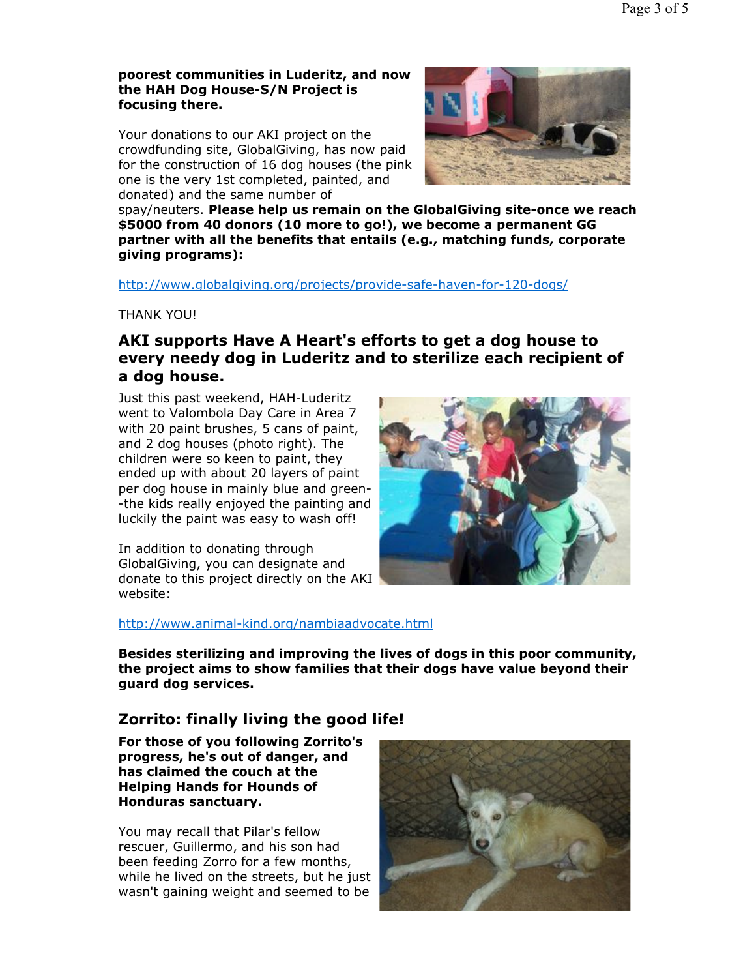#### poorest communities in Luderitz, and now the HAH Dog House-S/N Project is focusing there.

Your donations to our AKI project on the crowdfunding site, GlobalGiving, has now paid for the construction of 16 dog houses (the pink one is the very 1st completed, painted, and donated) and the same number of



spay/neuters. Please help us remain on the GlobalGiving site-once we reach \$5000 from 40 donors (10 more to go!), we become a permanent GG partner with all the benefits that entails (e.g., matching funds, corporate giving programs):

http://www.globalgiving.org/projects/provide-safe-haven-for-120-dogs/

THANK YOU!

# AKI supports Have A Heart's efforts to get a dog house to every needy dog in Luderitz and to sterilize each recipient of a dog house.

Just this past weekend, HAH-Luderitz went to Valombola Day Care in Area 7 with 20 paint brushes, 5 cans of paint, and 2 dog houses (photo right). The children were so keen to paint, they ended up with about 20 layers of paint per dog house in mainly blue and green- -the kids really enjoyed the painting and luckily the paint was easy to wash off!

In addition to donating through GlobalGiving, you can designate and donate to this project directly on the AKI website:



http://www.animal-kind.org/nambiaadvocate.html

Besides sterilizing and improving the lives of dogs in this poor community, the project aims to show families that their dogs have value beyond their guard dog services.

## Zorrito: finally living the good life!

For those of you following Zorrito's progress, he's out of danger, and has claimed the couch at the Helping Hands for Hounds of Honduras sanctuary.

You may recall that Pilar's fellow rescuer, Guillermo, and his son had been feeding Zorro for a few months, while he lived on the streets, but he just wasn't gaining weight and seemed to be

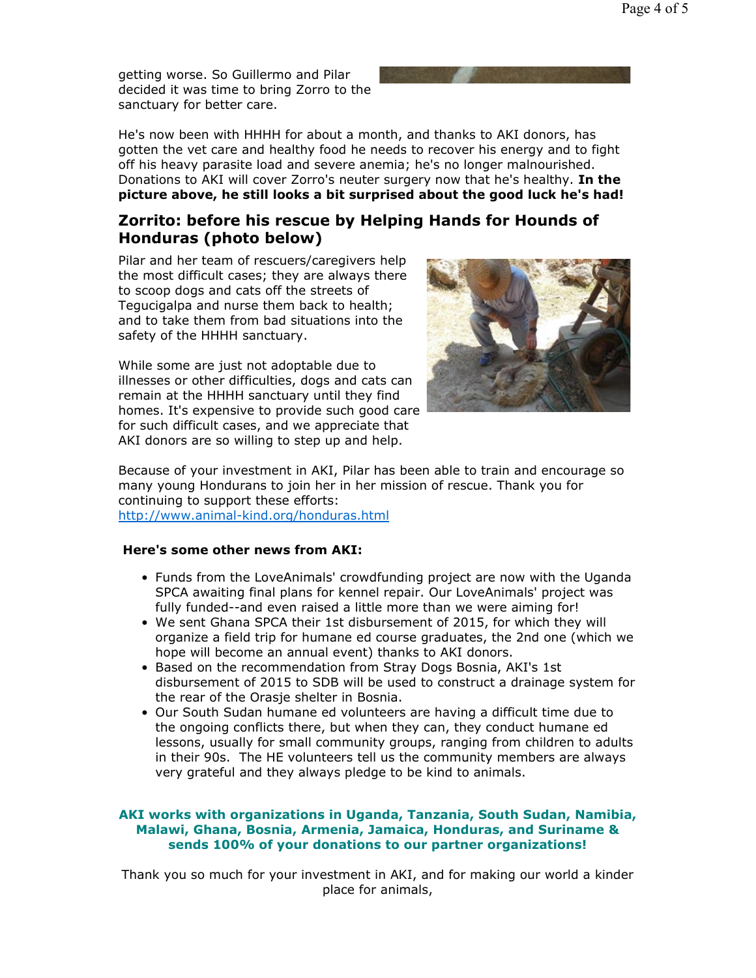getting worse. So Guillermo and Pilar decided it was time to bring Zorro to the sanctuary for better care.

He's now been with HHHH for about a month, and thanks to AKI donors, has gotten the vet care and healthy food he needs to recover his energy and to fight off his heavy parasite load and severe anemia; he's no longer malnourished. Donations to AKI will cover Zorro's neuter surgery now that he's healthy. In the picture above, he still looks a bit surprised about the good luck he's had!

### Zorrito: before his rescue by Helping Hands for Hounds of Honduras (photo below)

Pilar and her team of rescuers/caregivers help the most difficult cases; they are always there to scoop dogs and cats off the streets of Tegucigalpa and nurse them back to health; and to take them from bad situations into the safety of the HHHH sanctuary.

While some are just not adoptable due to illnesses or other difficulties, dogs and cats can remain at the HHHH sanctuary until they find homes. It's expensive to provide such good care for such difficult cases, and we appreciate that AKI donors are so willing to step up and help.



Because of your investment in AKI, Pilar has been able to train and encourage so many young Hondurans to join her in her mission of rescue. Thank you for continuing to support these efforts: http://www.animal-kind.org/honduras.html

#### Here's some other news from AKI:

- Funds from the LoveAnimals' crowdfunding project are now with the Uganda SPCA awaiting final plans for kennel repair. Our LoveAnimals' project was fully funded--and even raised a little more than we were aiming for!
- We sent Ghana SPCA their 1st disbursement of 2015, for which they will organize a field trip for humane ed course graduates, the 2nd one (which we hope will become an annual event) thanks to AKI donors.
- Based on the recommendation from Stray Dogs Bosnia, AKI's 1st disbursement of 2015 to SDB will be used to construct a drainage system for the rear of the Orasje shelter in Bosnia.
- Our South Sudan humane ed volunteers are having a difficult time due to the ongoing conflicts there, but when they can, they conduct humane ed lessons, usually for small community groups, ranging from children to adults in their 90s. The HE volunteers tell us the community members are always very grateful and they always pledge to be kind to animals.

#### AKI works with organizations in Uganda, Tanzania, South Sudan, Namibia, Malawi, Ghana, Bosnia, Armenia, Jamaica, Honduras, and Suriname & sends 100% of your donations to our partner organizations!

Thank you so much for your investment in AKI, and for making our world a kinder place for animals,